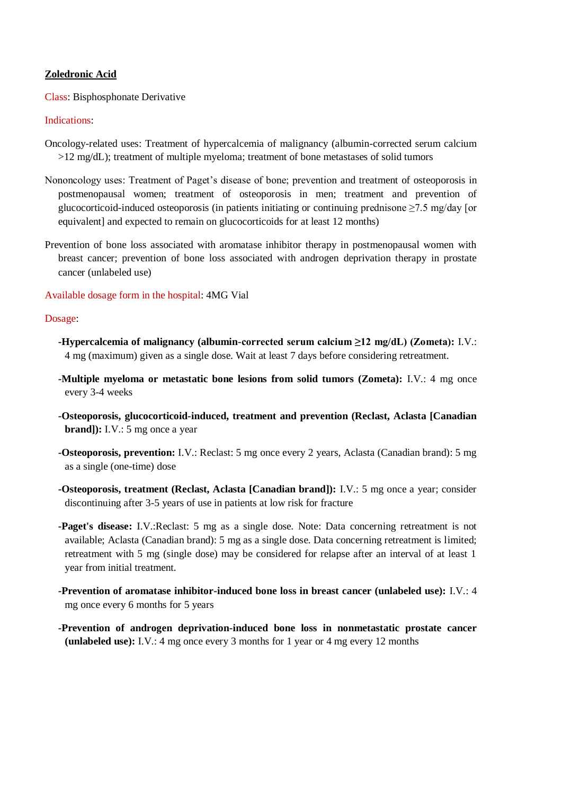# **Zoledronic Acid**

Class: Bisphosphonate Derivative

#### Indications:

- Oncology-related uses: Treatment of hypercalcemia of malignancy (albumin-corrected serum calcium >12 mg/dL); treatment of multiple myeloma; treatment of bone metastases of solid tumors
- Nononcology uses: Treatment of Paget's disease of bone; prevention and treatment of osteoporosis in postmenopausal women; treatment of osteoporosis in men; treatment and prevention of glucocorticoid-induced osteoporosis (in patients initiating or continuing prednisone  $\geq 7.5$  mg/day [or equivalent] and expected to remain on glucocorticoids for at least 12 months)
- Prevention of bone loss associated with aromatase inhibitor therapy in postmenopausal women with breast cancer; prevention of bone loss associated with androgen deprivation therapy in prostate cancer (unlabeled use)

# Available dosage form in the hospital: 4MG Vial

#### Dosage:

- **-Hypercalcemia of malignancy (albumin-corrected serum calcium ≥12 mg/dL) (Zometa):** I.V.: 4 mg (maximum) given as a single dose. Wait at least 7 days before considering retreatment.
- **-Multiple myeloma or metastatic bone lesions from solid tumors (Zometa):** I.V.: 4 mg once every 3-4 weeks
- **-Osteoporosis, glucocorticoid-induced, treatment and prevention (Reclast, Aclasta [Canadian brand**): I.V.: 5 mg once a year
- **-Osteoporosis, prevention:** I.V.: Reclast: 5 mg once every 2 years, Aclasta (Canadian brand): 5 mg as a single (one-time) dose
- **-Osteoporosis, treatment (Reclast, Aclasta [Canadian brand]):** I.V.: 5 mg once a year; consider discontinuing after 3-5 years of use in patients at low risk for fracture
- **-Paget's disease:** I.V.:Reclast: 5 mg as a single dose. Note: Data concerning retreatment is not available; Aclasta (Canadian brand): 5 mg as a single dose. Data concerning retreatment is limited; retreatment with 5 mg (single dose) may be considered for relapse after an interval of at least 1 year from initial treatment.
- **-Prevention of aromatase inhibitor-induced bone loss in breast cancer (unlabeled use):** I.V.: 4 mg once every 6 months for 5 years
- **-Prevention of androgen deprivation-induced bone loss in nonmetastatic prostate cancer (unlabeled use):** I.V.: 4 mg once every 3 months for 1 year or 4 mg every 12 months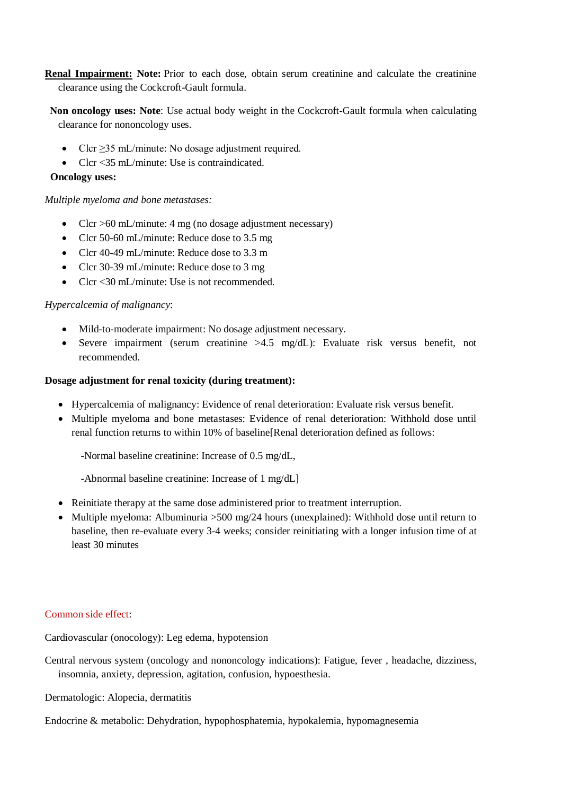**Renal Impairment: Note:** Prior to each dose, obtain serum creatinine and calculate the creatinine clearance using the Cockcroft-Gault formula.

 **Non oncology uses: Note**: Use actual body weight in the Cockcroft-Gault formula when calculating clearance for nononcology uses.

- Clcr  $\geq$ 35 mL/minute: No dosage adjustment required.
- Clcr <35 mL/minute: Use is contraindicated.

# **Oncology uses:**

# *Multiple myeloma and bone metastases:*

- Clcr  $>60$  mL/minute: 4 mg (no dosage adjustment necessary)
- Clcr 50-60 mL/minute: Reduce dose to 3.5 mg
- Clcr 40-49 mL/minute: Reduce dose to 3.3 m
- Clcr 30-39 mL/minute: Reduce dose to 3 mg
- Clcr <30 mL/minute: Use is not recommended.

# *Hypercalcemia of malignancy*:

- Mild-to-moderate impairment: No dosage adjustment necessary.
- Severe impairment (serum creatinine >4.5 mg/dL): Evaluate risk versus benefit, not recommended.

# **Dosage adjustment for renal toxicity (during treatment):**

- Hypercalcemia of malignancy: Evidence of renal deterioration: Evaluate risk versus benefit.
- Multiple myeloma and bone metastases: Evidence of renal deterioration: Withhold dose until renal function returns to within 10% of baseline[Renal deterioration defined as follows:

-Normal baseline creatinine: Increase of 0.5 mg/dL,

-Abnormal baseline creatinine: Increase of 1 mg/dL]

- Reinitiate therapy at the same dose administered prior to treatment interruption.
- Multiple myeloma: Albuminuria > 500 mg/24 hours (unexplained): Withhold dose until return to baseline, then re-evaluate every 3-4 weeks; consider reinitiating with a longer infusion time of at least 30 minutes

# Common side effect:

Cardiovascular (onocology): Leg edema, hypotension

Central nervous system (oncology and nononcology indications): Fatigue, fever , headache, dizziness, insomnia, anxiety, depression, agitation, confusion, hypoesthesia.

Dermatologic: Alopecia, dermatitis

Endocrine & metabolic: Dehydration, hypophosphatemia, hypokalemia, hypomagnesemia